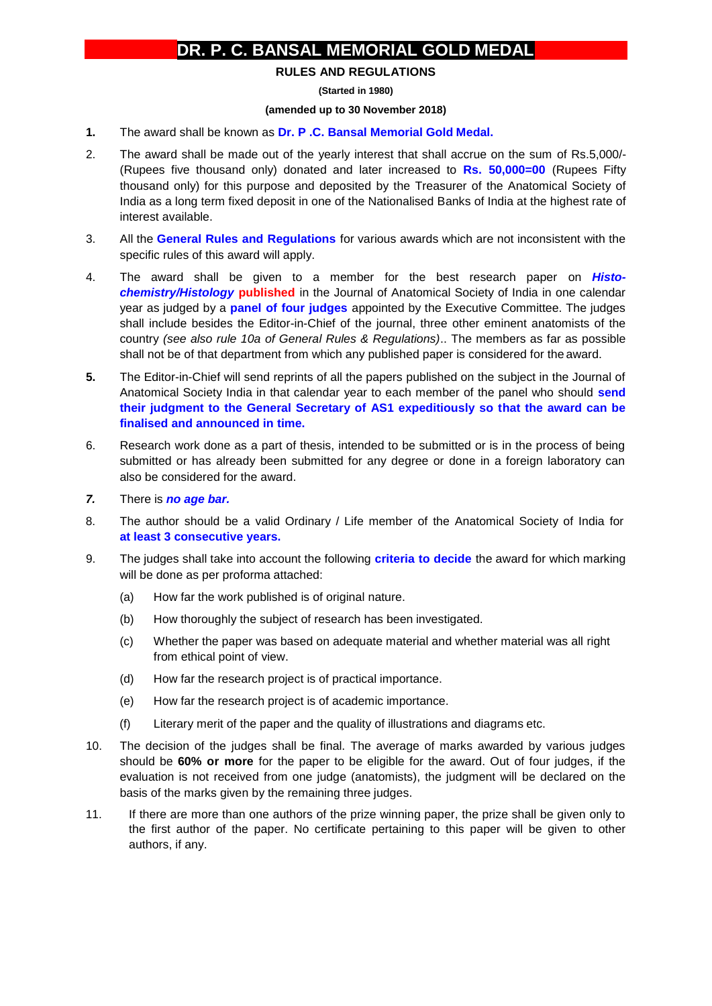## **DR. P. C. BANSAL MEMORIAL GOLD MEDAL**

## **RULES AND REGULATIONS**

**(Started in 1980)**

## **(amended up to 30 November 2018)**

- **1.** The award shall be known as **Dr. P .C. Bansal Memorial Gold Medal.**
- 2. The award shall be made out of the yearly interest that shall accrue on the sum of Rs.5,000/- (Rupees five thousand only) donated and later increased to **Rs. 50,000=00** (Rupees Fifty thousand only) for this purpose and deposited by the Treasurer of the Anatomical Society of India as a long term fixed deposit in one of the Nationalised Banks of India at the highest rate of interest available.
- 3. All the **General Rules and Regulations** for various awards which are not inconsistent with the specific rules of this award will apply.
- 4. The award shall be given to a member for the best research paper on *Histochemistry/Histology* **published** in the Journal of Anatomical Society of India in one calendar year as judged by a **panel of four judges** appointed by the Executive Committee. The judges shall include besides the Editor-in-Chief of the journal, three other eminent anatomists of the country *(see also rule 10a of General Rules & Regulations)*.. The members as far as possible shall not be of that department from which any published paper is considered for the award.
- **5.** The Editor-in-Chief will send reprints of all the papers published on the subject in the Journal of Anatomical Society India in that calendar year to each member of the panel who should **send their judgment to the General Secretary of AS1 expeditiously so that the award can be finalised and announced in time.**
- 6. Research work done as a part of thesis, intended to be submitted or is in the process of being submitted or has already been submitted for any degree or done in a foreign laboratory can also be considered for the award.
- *7.* There is *no age bar.*
- 8. The author should be a valid Ordinary / Life member of the Anatomical Society of India for **at least 3 consecutive years.**
- 9. The judges shall take into account the following **criteria to decide** the award for which marking will be done as per proforma attached:
	- (a) How far the work published is of original nature.
	- (b) How thoroughly the subject of research has been investigated.
	- (c) Whether the paper was based on adequate material and whether material was all right from ethical point of view.
	- (d) How far the research project is of practical importance.
	- (e) How far the research project is of academic importance.
	- (f) Literary merit of the paper and the quality of illustrations and diagrams etc.
- 10. The decision of the judges shall be final. The average of marks awarded by various judges should be **60% or more** for the paper to be eligible for the award. Out of four judges, if the evaluation is not received from one judge (anatomists), the judgment will be declared on the basis of the marks given by the remaining three judges.
- 11. If there are more than one authors of the prize winning paper, the prize shall be given only to the first author of the paper. No certificate pertaining to this paper will be given to other authors, if any.